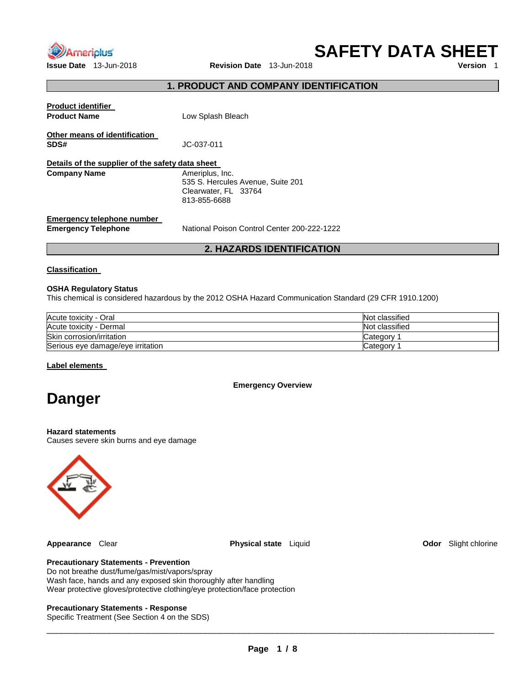

**Issue Date** 13-Jun-2018 **Revision Date** 13-Jun-2018

**SAFETY DATA SHEET** 

## **1. PRODUCT AND COMPANY IDENTIFICATION**

| <b>Product identifier</b><br><b>Product Name</b>         | Low Splash Bleach                                                                            |
|----------------------------------------------------------|----------------------------------------------------------------------------------------------|
| Other means of identification<br>SDS#                    | JC-037-011                                                                                   |
| Details of the supplier of the safety data sheet         |                                                                                              |
| <b>Company Name</b>                                      | Ameriplus, Inc.<br>535 S. Hercules Avenue, Suite 201<br>Clearwater, FL 33764<br>813-855-6688 |
| Emergency telephone number<br><b>Emergency Telephone</b> | National Poison Control Center 200-222-1222                                                  |

## **2. HAZARDS IDENTIFICATION**

**Classification** 

#### **OSHA Regulatory Status**

This chemical is considered hazardous by the 2012 OSHA Hazard Communication Standard (29 CFR 1910.1200)

| Acute toxicity - Oral             | Not classified |
|-----------------------------------|----------------|
| Acute toxicity - Dermal           | Not classified |
| Skin corrosion/irritation         | Category       |
| Serious eye damage/eye irritation | Category       |

**Label elements** 

**Emergency Overview** 

# **Danger**

#### **Hazard statements**

Causes severe skin burns and eye damage



**Appearance** Clear **Physical state** Liquid **Odor** Slight chlorine

## **Precautionary Statements - Prevention**

Do not breathe dust/fume/gas/mist/vapors/spray Wash face, hands and any exposed skin thoroughly after handling Wear protective gloves/protective clothing/eye protection/face protection

#### **Precautionary Statements - Response**

Specific Treatment (See Section 4 on the SDS)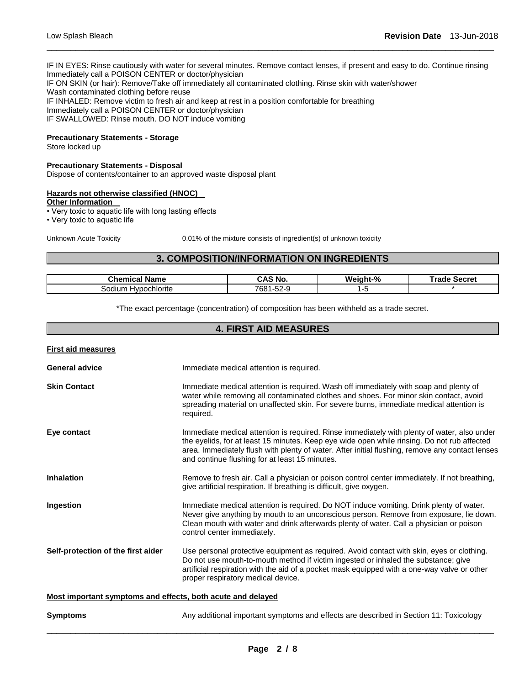IF IN EYES: Rinse cautiously with water for several minutes. Remove contact lenses, if present and easy to do. Continue rinsing Immediately call a POISON CENTER or doctor/physician IF ON SKIN (or hair): Remove/Take off immediately all contaminated clothing. Rinse skin with water/shower Wash contaminated clothing before reuse IF INHALED: Remove victim to fresh air and keep at rest in a position comfortable for breathing Immediately call a POISON CENTER or doctor/physician IF SWALLOWED: Rinse mouth. DO NOT induce vomiting

\_\_\_\_\_\_\_\_\_\_\_\_\_\_\_\_\_\_\_\_\_\_\_\_\_\_\_\_\_\_\_\_\_\_\_\_\_\_\_\_\_\_\_\_\_\_\_\_\_\_\_\_\_\_\_\_\_\_\_\_\_\_\_\_\_\_\_\_\_\_\_\_\_\_\_\_\_\_\_\_\_\_\_\_\_\_\_\_\_\_\_\_\_

## **Precautionary Statements - Storage**

Store locked up

#### **Precautionary Statements - Disposal**

Dispose of contents/container to an approved waste disposal plant

#### **Hazards not otherwise classified (HNOC)**

**Other Information** 

• Very toxic to aquatic life with long lasting effects

• Very toxic to aquatic life

Unknown Acute Toxicity 0.01% of the mixture consists of ingredient(s) of unknown toxicity

## **3. COMPOSITION/INFORMATION ON INGREDIENTS**

| Chemical<br>' Name            | <b>CAS No</b>            | Weight-% | Secret<br>™rade |
|-------------------------------|--------------------------|----------|-----------------|
| <b>Hypochlorite</b><br>sodium | 7681<br>EO.<br>—∽-2ت-⊺ ب |          |                 |

\*The exact percentage (concentration) of composition has been withheld as a trade secret.

### **4. FIRST AID MEASURES**

| <b>First aid measures</b>                                   |                                                                                                                                                                                                                                                                                                                                                 |
|-------------------------------------------------------------|-------------------------------------------------------------------------------------------------------------------------------------------------------------------------------------------------------------------------------------------------------------------------------------------------------------------------------------------------|
| <b>General advice</b>                                       | Immediate medical attention is required.                                                                                                                                                                                                                                                                                                        |
| <b>Skin Contact</b>                                         | Immediate medical attention is required. Wash off immediately with soap and plenty of<br>water while removing all contaminated clothes and shoes. For minor skin contact, avoid<br>spreading material on unaffected skin. For severe burns, immediate medical attention is<br>required.                                                         |
| Eye contact                                                 | Immediate medical attention is required. Rinse immediately with plenty of water, also under<br>the eyelids, for at least 15 minutes. Keep eye wide open while rinsing. Do not rub affected<br>area. Immediately flush with plenty of water. After initial flushing, remove any contact lenses<br>and continue flushing for at least 15 minutes. |
| <b>Inhalation</b>                                           | Remove to fresh air. Call a physician or poison control center immediately. If not breathing,<br>give artificial respiration. If breathing is difficult, give oxygen.                                                                                                                                                                           |
| Ingestion                                                   | Immediate medical attention is required. Do NOT induce vomiting. Drink plenty of water.<br>Never give anything by mouth to an unconscious person. Remove from exposure, lie down.<br>Clean mouth with water and drink afterwards plenty of water. Call a physician or poison<br>control center immediately.                                     |
| Self-protection of the first aider                          | Use personal protective equipment as required. Avoid contact with skin, eyes or clothing.<br>Do not use mouth-to-mouth method if victim ingested or inhaled the substance; give<br>artificial respiration with the aid of a pocket mask equipped with a one-way valve or other<br>proper respiratory medical device.                            |
| Most important symptoms and effects, both acute and delayed |                                                                                                                                                                                                                                                                                                                                                 |
| <b>Symptoms</b>                                             | Any additional important symptoms and effects are described in Section 11: Toxicology                                                                                                                                                                                                                                                           |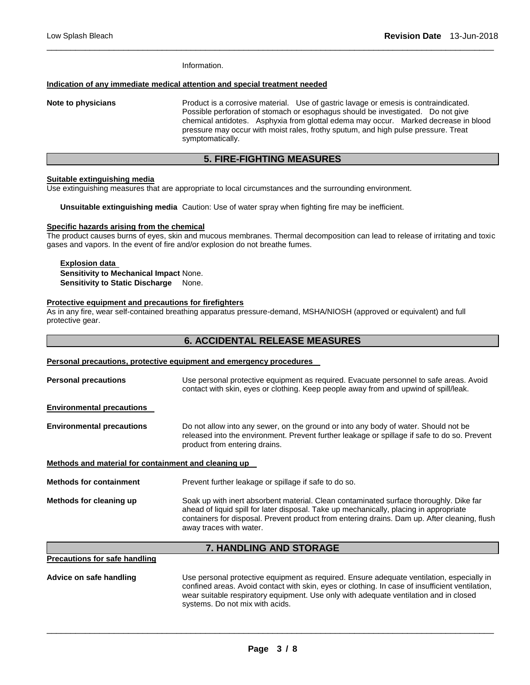Information.

#### **Indication of any immediate medical attention and special treatment needed**

**Note to physicians** Product is a corrosive material. Use of gastric lavage or emesis is contraindicated. Possible perforation of stomach or esophagus should be investigated. Do not give chemical antidotes. Asphyxia from glottal edema may occur. Marked decrease in blood pressure may occur with moist rales, frothy sputum, and high pulse pressure. Treat symptomatically.

### **5. FIRE-FIGHTING MEASURES**

\_\_\_\_\_\_\_\_\_\_\_\_\_\_\_\_\_\_\_\_\_\_\_\_\_\_\_\_\_\_\_\_\_\_\_\_\_\_\_\_\_\_\_\_\_\_\_\_\_\_\_\_\_\_\_\_\_\_\_\_\_\_\_\_\_\_\_\_\_\_\_\_\_\_\_\_\_\_\_\_\_\_\_\_\_\_\_\_\_\_\_\_\_

#### **Suitable extinguishing media**

Use extinguishing measures that are appropriate to local circumstances and the surrounding environment.

**Unsuitable extinguishing media** Caution: Use of water spray when fighting fire may be inefficient.

#### **Specific hazards arising from the chemical**

The product causes burns of eyes, skin and mucous membranes. Thermal decomposition can lead to release of irritating and toxic gases and vapors. In the event of fire and/or explosion do not breathe fumes.

#### **Explosion data Sensitivity to Mechanical Impact** None. **Sensitivity to Static Discharge None.**

#### **Protective equipment and precautions for firefighters**

As in any fire, wear self-contained breathing apparatus pressure-demand, MSHA/NIOSH (approved or equivalent) and full protective gear.

| <b>6. ACCIDENTAL RELEASE MEASURES</b>                               |                                                                                                                                                                                                                                                                                                             |  |  |
|---------------------------------------------------------------------|-------------------------------------------------------------------------------------------------------------------------------------------------------------------------------------------------------------------------------------------------------------------------------------------------------------|--|--|
| Personal precautions, protective equipment and emergency procedures |                                                                                                                                                                                                                                                                                                             |  |  |
| <b>Personal precautions</b>                                         | Use personal protective equipment as required. Evacuate personnel to safe areas. Avoid<br>contact with skin, eyes or clothing. Keep people away from and upwind of spill/leak.                                                                                                                              |  |  |
| <b>Environmental precautions</b>                                    |                                                                                                                                                                                                                                                                                                             |  |  |
| <b>Environmental precautions</b>                                    | Do not allow into any sewer, on the ground or into any body of water. Should not be<br>released into the environment. Prevent further leakage or spillage if safe to do so. Prevent<br>product from entering drains.                                                                                        |  |  |
| Methods and material for containment and cleaning up                |                                                                                                                                                                                                                                                                                                             |  |  |
| <b>Methods for containment</b>                                      | Prevent further leakage or spillage if safe to do so.                                                                                                                                                                                                                                                       |  |  |
| Methods for cleaning up                                             | Soak up with inert absorbent material. Clean contaminated surface thoroughly. Dike far<br>ahead of liquid spill for later disposal. Take up mechanically, placing in appropriate<br>containers for disposal. Prevent product from entering drains. Dam up. After cleaning, flush<br>away traces with water. |  |  |
|                                                                     | 7. HANDLING AND STORAGE                                                                                                                                                                                                                                                                                     |  |  |
| <b>Precautions for safe handling</b>                                |                                                                                                                                                                                                                                                                                                             |  |  |
| Advice on safe handling                                             | Use personal protective equipment as required. Ensure adequate ventilation, especially in<br>confined areas. Avoid contact with skin, eyes or clothing. In case of insufficient ventilation,<br>wear suitable respiratory equipment. Use only with adequate ventilation and in closed                       |  |  |

\_\_\_\_\_\_\_\_\_\_\_\_\_\_\_\_\_\_\_\_\_\_\_\_\_\_\_\_\_\_\_\_\_\_\_\_\_\_\_\_\_\_\_\_\_\_\_\_\_\_\_\_\_\_\_\_\_\_\_\_\_\_\_\_\_\_\_\_\_\_\_\_\_\_\_\_\_\_\_\_\_\_\_\_\_\_\_\_\_\_\_\_\_

systems. Do not mix with acids.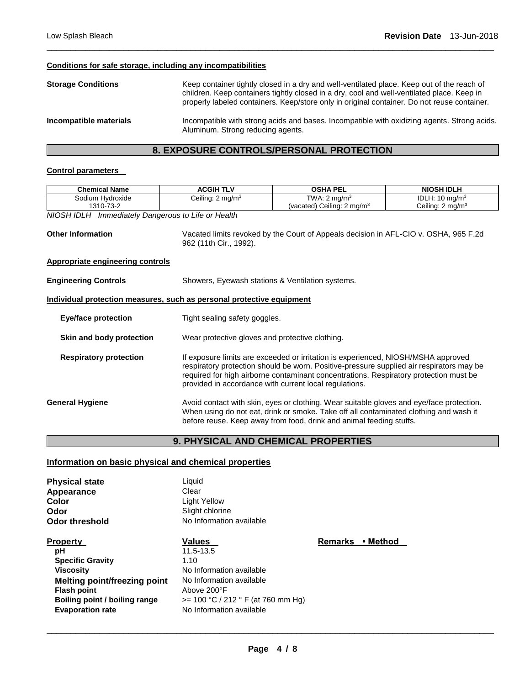## **Conditions for safe storage, including any incompatibilities**

| <b>Storage Conditions</b> | Keep container tightly closed in a dry and well-ventilated place. Keep out of the reach of<br>children. Keep containers tightly closed in a dry, cool and well-ventilated place. Keep in<br>properly labeled containers. Keep/store only in original container. Do not reuse container. |
|---------------------------|-----------------------------------------------------------------------------------------------------------------------------------------------------------------------------------------------------------------------------------------------------------------------------------------|
| Incompatible materials    | Incompatible with strong acids and bases. Incompatible with oxidizing agents. Strong acids.<br>Aluminum. Strong reducing agents.                                                                                                                                                        |

\_\_\_\_\_\_\_\_\_\_\_\_\_\_\_\_\_\_\_\_\_\_\_\_\_\_\_\_\_\_\_\_\_\_\_\_\_\_\_\_\_\_\_\_\_\_\_\_\_\_\_\_\_\_\_\_\_\_\_\_\_\_\_\_\_\_\_\_\_\_\_\_\_\_\_\_\_\_\_\_\_\_\_\_\_\_\_\_\_\_\_\_\_

## **8. EXPOSURE CONTROLS/PERSONAL PROTECTION**

#### **Control parameters**

| <b>Chemical Name</b>                                                                  | <b>ACGIH TLV</b>                                                                         | <b>OSHA PEL</b>                                                                      | <b>NIOSH IDLH</b>           |  |  |
|---------------------------------------------------------------------------------------|------------------------------------------------------------------------------------------|--------------------------------------------------------------------------------------|-----------------------------|--|--|
| Sodium Hydroxide                                                                      | Ceiling: $2 \text{ mg/m}^3$                                                              | TWA: $2 \text{ mg/m}^3$                                                              | IDLH: $10 \text{ mg/m}^3$   |  |  |
| 1310-73-2                                                                             |                                                                                          | (vacated) Ceiling: 2 mg/m <sup>3</sup>                                               | Ceiling: $2 \text{ mg/m}^3$ |  |  |
| NIOSH IDLH Immediately Dangerous to Life or Health                                    |                                                                                          |                                                                                      |                             |  |  |
|                                                                                       |                                                                                          |                                                                                      |                             |  |  |
| <b>Other Information</b>                                                              |                                                                                          | Vacated limits revoked by the Court of Appeals decision in AFL-CIO v. OSHA, 965 F.2d |                             |  |  |
|                                                                                       | 962 (11th Cir., 1992).                                                                   |                                                                                      |                             |  |  |
|                                                                                       |                                                                                          |                                                                                      |                             |  |  |
| <b>Appropriate engineering controls</b>                                               |                                                                                          |                                                                                      |                             |  |  |
| <b>Engineering Controls</b>                                                           | Showers, Eyewash stations & Ventilation systems.                                         |                                                                                      |                             |  |  |
|                                                                                       |                                                                                          |                                                                                      |                             |  |  |
| Individual protection measures, such as personal protective equipment                 |                                                                                          |                                                                                      |                             |  |  |
|                                                                                       |                                                                                          |                                                                                      |                             |  |  |
| <b>Eye/face protection</b>                                                            |                                                                                          | Tight sealing safety goggles.                                                        |                             |  |  |
|                                                                                       |                                                                                          |                                                                                      |                             |  |  |
| Skin and body protection                                                              |                                                                                          | Wear protective gloves and protective clothing.                                      |                             |  |  |
|                                                                                       |                                                                                          |                                                                                      |                             |  |  |
| <b>Respiratory protection</b>                                                         | If exposure limits are exceeded or irritation is experienced, NIOSH/MSHA approved        |                                                                                      |                             |  |  |
|                                                                                       | respiratory protection should be worn. Positive-pressure supplied air respirators may be |                                                                                      |                             |  |  |
| required for high airborne contaminant concentrations. Respiratory protection must be |                                                                                          |                                                                                      |                             |  |  |
| provided in accordance with current local regulations.                                |                                                                                          |                                                                                      |                             |  |  |
| <b>General Hygiene</b>                                                                | Avoid contact with skin, eyes or clothing. Wear suitable gloves and eye/face protection. |                                                                                      |                             |  |  |
|                                                                                       | When using do not eat, drink or smoke. Take off all contaminated clothing and wash it    |                                                                                      |                             |  |  |
|                                                                                       | before reuse. Keep away from food, drink and animal feeding stuffs.                      |                                                                                      |                             |  |  |
|                                                                                       |                                                                                          |                                                                                      |                             |  |  |

## **9. PHYSICAL AND CHEMICAL PROPERTIES**

## **Information on basic physical and chemical properties**

| <b>Physical state</b>               | Liquid                              |                |          |
|-------------------------------------|-------------------------------------|----------------|----------|
| Appearance                          | Clear                               |                |          |
| Color                               | Light Yellow                        |                |          |
| Odor                                | Slight chlorine                     |                |          |
| Odor threshold                      | No Information available            |                |          |
| <b>Property</b>                     | Values                              | <b>Remarks</b> | ∙ Method |
| рH                                  | 11.5-13.5                           |                |          |
| <b>Specific Gravity</b>             | 1.10                                |                |          |
| <b>Viscosity</b>                    | No Information available            |                |          |
| <b>Melting point/freezing point</b> | No Information available            |                |          |
| <b>Flash point</b>                  | Above 200°F                         |                |          |
| Boiling point / boiling range       | $>= 100 °C / 212 °F$ (at 760 mm Hg) |                |          |
| <b>Evaporation rate</b>             | No Information available            |                |          |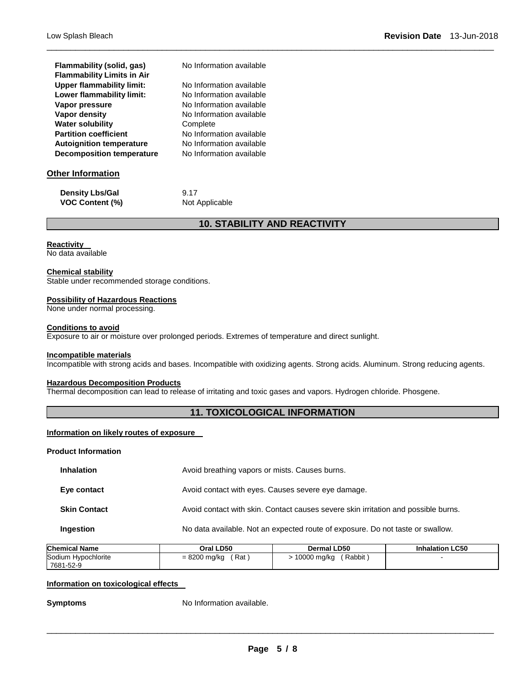| Flammability (solid, gas)<br><b>Flammability Limits in Air</b> | No Information available |
|----------------------------------------------------------------|--------------------------|
| <b>Upper flammability limit:</b>                               | No Information available |
| Lower flammability limit:                                      | No Information available |
| Vapor pressure                                                 | No Information available |
| Vapor density                                                  | No Information available |
| <b>Water solubility</b>                                        | Complete                 |
| <b>Partition coefficient</b>                                   | No Information available |
| <b>Autoignition temperature</b>                                | No Information available |
| <b>Decomposition temperature</b>                               | No Information available |

## **Other Information**

| <b>Density Lbs/Gal</b> |  |
|------------------------|--|
| <b>VOC Content (%)</b> |  |

**9.17 Not Applicable** 

## **10. STABILITY AND REACTIVITY**

\_\_\_\_\_\_\_\_\_\_\_\_\_\_\_\_\_\_\_\_\_\_\_\_\_\_\_\_\_\_\_\_\_\_\_\_\_\_\_\_\_\_\_\_\_\_\_\_\_\_\_\_\_\_\_\_\_\_\_\_\_\_\_\_\_\_\_\_\_\_\_\_\_\_\_\_\_\_\_\_\_\_\_\_\_\_\_\_\_\_\_\_\_

#### **Reactivity**

No data available

#### **Chemical stability**

Stable under recommended storage conditions.

#### **Possibility of Hazardous Reactions**

#### None under normal processing.

#### **Conditions to avoid**

Exposure to air or moisture over prolonged periods. Extremes of temperature and direct sunlight.

#### **Incompatible materials**

Incompatible with strong acids and bases. Incompatible with oxidizing agents. Strong acids. Aluminum. Strong reducing agents.

#### **Hazardous Decomposition Products**

Thermal decomposition can lead to release of irritating and toxic gases and vapors. Hydrogen chloride. Phosgene.

#### **11. TOXICOLOGICAL INFORMATION**

## **Information on likely routes of exposure**

**Product Information** 

| <b>Inhalation</b>   | Avoid breathing vapors or mists. Causes burns.                                     |
|---------------------|------------------------------------------------------------------------------------|
| Eye contact         | Avoid contact with eyes. Causes severe eye damage.                                 |
| <b>Skin Contact</b> | Avoid contact with skin. Contact causes severe skin irritation and possible burns. |
| Ingestion           | No data available. Not an expected route of exposure. Do not taste or swallow.     |

| <b>Chemical Name</b> | Oral LD50      | <b>Dermal LD50</b> | <b>Inhalation LC50</b> |
|----------------------|----------------|--------------------|------------------------|
| Sodium Hypochlorite  | Rat            | Rabbit             |                        |
| 7681-52-9            | $= 8200$ mg/kg | 10000 mg/kg        |                        |

#### **Information on toxicological effects**

**Symptoms** No Information available.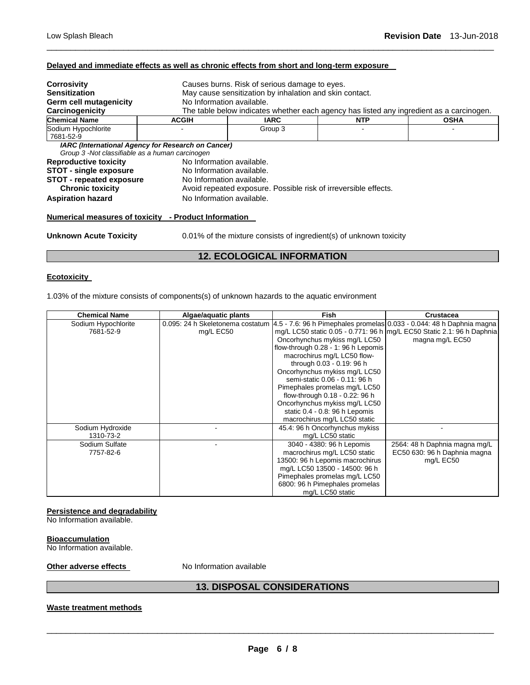#### **Delayed and immediate effects as well as chronic effects from short and long-term exposure**

| <b>Corrosivity</b>                                   |                                                           | Causes burns. Risk of serious damage to eyes.                                            |            |             |  |  |
|------------------------------------------------------|-----------------------------------------------------------|------------------------------------------------------------------------------------------|------------|-------------|--|--|
| <b>Sensitization</b>                                 |                                                           | May cause sensitization by inhalation and skin contact.                                  |            |             |  |  |
| Germ cell mutagenicity                               |                                                           | No Information available.                                                                |            |             |  |  |
| Carcinogenicity                                      |                                                           | The table below indicates whether each agency has listed any ingredient as a carcinogen. |            |             |  |  |
| <b>Chemical Name</b>                                 | <b>ACGIH</b>                                              | IARC                                                                                     | <b>NTP</b> | <b>OSHA</b> |  |  |
| Sodium Hypochlorite                                  |                                                           | Group 3                                                                                  |            |             |  |  |
| 7681-52-9                                            |                                                           |                                                                                          |            |             |  |  |
|                                                      | <b>IARC</b> (International Agency for Research on Cancer) |                                                                                          |            |             |  |  |
| Group 3 -Not classifiable as a human carcinogen      |                                                           |                                                                                          |            |             |  |  |
| <b>Reproductive toxicity</b>                         |                                                           | No Information available.                                                                |            |             |  |  |
| <b>STOT - single exposure</b>                        | No Information available.                                 |                                                                                          |            |             |  |  |
| <b>STOT - repeated exposure</b>                      | No Information available.                                 |                                                                                          |            |             |  |  |
| <b>Chronic toxicity</b>                              |                                                           | Avoid repeated exposure. Possible risk of irreversible effects.                          |            |             |  |  |
| <b>Aspiration hazard</b>                             | No Information available.                                 |                                                                                          |            |             |  |  |
| Numerical measures of toxicity - Product Information |                                                           |                                                                                          |            |             |  |  |
| <b>Unknown Acute Toxicity</b>                        |                                                           | 0.01% of the mixture consists of ingredient(s) of unknown toxicity                       |            |             |  |  |
|                                                      |                                                           |                                                                                          |            |             |  |  |

\_\_\_\_\_\_\_\_\_\_\_\_\_\_\_\_\_\_\_\_\_\_\_\_\_\_\_\_\_\_\_\_\_\_\_\_\_\_\_\_\_\_\_\_\_\_\_\_\_\_\_\_\_\_\_\_\_\_\_\_\_\_\_\_\_\_\_\_\_\_\_\_\_\_\_\_\_\_\_\_\_\_\_\_\_\_\_\_\_\_\_\_\_

## **12. ECOLOGICAL INFORMATION**

#### **Ecotoxicity**

1.03% of the mixture consists of components(s) of unknown hazards to the aquatic environment

| <b>Chemical Name</b> | Algae/aquatic plants | <b>Fish</b>                                                                                            | Crustacea                                                                |
|----------------------|----------------------|--------------------------------------------------------------------------------------------------------|--------------------------------------------------------------------------|
| Sodium Hypochlorite  |                      | 0.095: 24 h Skeletonema costatum 4.5 - 7.6: 96 h Pimephales promelas 0.033 - 0.044: 48 h Daphnia magna |                                                                          |
| 7681-52-9            | mg/L EC50            |                                                                                                        | mg/L LC50 static 0.05 - 0.771: 96 h   mg/L EC50 Static 2.1: 96 h Daphnia |
|                      |                      | Oncorhynchus mykiss mg/L LC50                                                                          | magna mg/L EC50                                                          |
|                      |                      | flow-through 0.28 - 1: 96 h Lepomis                                                                    |                                                                          |
|                      |                      | macrochirus mg/L LC50 flow-                                                                            |                                                                          |
|                      |                      | through 0.03 - 0.19: 96 h                                                                              |                                                                          |
|                      |                      | Oncorhynchus mykiss mg/L LC50                                                                          |                                                                          |
|                      |                      | semi-static 0.06 - 0.11: 96 h                                                                          |                                                                          |
|                      |                      | Pimephales promelas mg/L LC50                                                                          |                                                                          |
|                      |                      | flow-through 0.18 - 0.22: 96 h                                                                         |                                                                          |
|                      |                      | Oncorhynchus mykiss mg/L LC50                                                                          |                                                                          |
|                      |                      | static 0.4 - 0.8: 96 h Lepomis                                                                         |                                                                          |
|                      |                      | macrochirus mg/L LC50 static                                                                           |                                                                          |
| Sodium Hydroxide     |                      | 45.4: 96 h Oncorhynchus mykiss                                                                         |                                                                          |
| 1310-73-2            |                      | mg/L LC50 static                                                                                       |                                                                          |
| Sodium Sulfate       |                      | 3040 - 4380: 96 h Lepomis                                                                              | 2564: 48 h Daphnia magna mg/L                                            |
| 7757-82-6            |                      | macrochirus mg/L LC50 static                                                                           | EC50 630: 96 h Daphnia magna                                             |
|                      |                      | 13500: 96 h Lepomis macrochirus                                                                        | mg/L EC50                                                                |
|                      |                      | mg/L LC50 13500 - 14500: 96 h                                                                          |                                                                          |
|                      |                      | Pimephales promelas mg/L LC50                                                                          |                                                                          |
|                      |                      | 6800: 96 h Pimephales promelas                                                                         |                                                                          |
|                      |                      | mg/L LC50 static                                                                                       |                                                                          |

#### **Persistence and degradability**

No Information available.

#### **Bioaccumulation**

No Information available.

#### **Other adverse effects** No Information available

## **13. DISPOSAL CONSIDERATIONS**

#### **Waste treatment methods**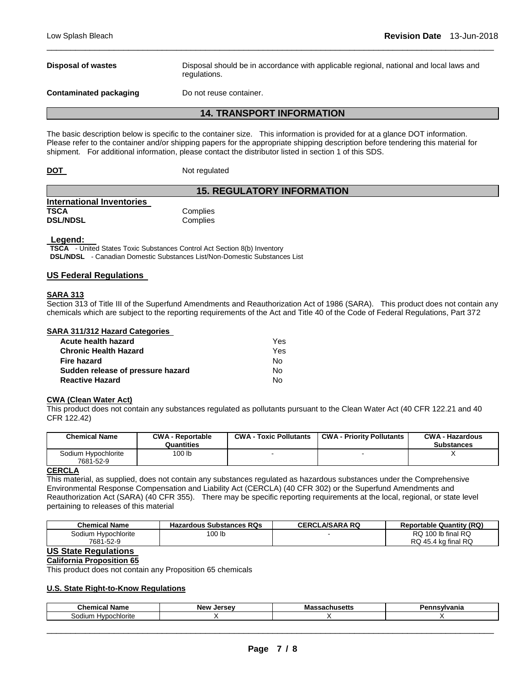**Disposal of wastes** Disposal should be in accordance with applicable regional, national and local laws and regulations.

**Contaminated packaging Theory Do not reuse container.** 

#### **14. TRANSPORT INFORMATION**

\_\_\_\_\_\_\_\_\_\_\_\_\_\_\_\_\_\_\_\_\_\_\_\_\_\_\_\_\_\_\_\_\_\_\_\_\_\_\_\_\_\_\_\_\_\_\_\_\_\_\_\_\_\_\_\_\_\_\_\_\_\_\_\_\_\_\_\_\_\_\_\_\_\_\_\_\_\_\_\_\_\_\_\_\_\_\_\_\_\_\_\_\_

The basic description below is specific to the container size. This information is provided for at a glance DOT information. Please refer to the container and/or shipping papers for the appropriate shipping description before tendering this material for shipment. For additional information, please contact the distributor listed in section 1 of this SDS.

| DOT |               |
|-----|---------------|
|     | Not regulated |

## **15. REGULATORY INFORMATION**

| <b>International Inventories</b> |          |
|----------------------------------|----------|
| TSCA                             | Complies |
| <b>DSL/NDSL</b>                  | Complies |

#### **Legend:**

**TSCA** - United States Toxic Substances Control Act Section 8(b) Inventory **DSL/NDSL** - Canadian Domestic Substances List/Non-Domestic Substances List

#### **US Federal Regulations**

#### **SARA 313**

Section 313 of Title III of the Superfund Amendments and Reauthorization Act of 1986 (SARA). This product does not contain any chemicals which are subject to the reporting requirements of the Act and Title 40 of the Code of Federal Regulations, Part 372

| SARA 311/312 Hazard Categories    |     |
|-----------------------------------|-----|
| Acute health hazard               | Yes |
| <b>Chronic Health Hazard</b>      | Yes |
| Fire hazard                       | Nο  |
| Sudden release of pressure hazard | Nο  |
| <b>Reactive Hazard</b>            | N٥  |

#### **CWA (Clean Water Act)**

This product does not contain any substances regulated as pollutants pursuant to the Clean Water Act (40 CFR 122.21 and 40 CFR 122.42)

| <b>Chemical Name</b> | <b>CWA - Reportable</b><br>Quantities | <b>CWA - Toxic Pollutants</b> | <b>CWA - Priority Pollutants</b> | <b>CWA - Hazardous</b><br><b>Substances</b> |
|----------------------|---------------------------------------|-------------------------------|----------------------------------|---------------------------------------------|
| Sodium Hypochlorite  | 100 lb                                |                               |                                  |                                             |
| 7681-52-9<br>P P R   |                                       |                               |                                  |                                             |

#### **CERCLA**

This material, as supplied, does not contain any substances regulated as hazardous substances under the Comprehensive Environmental Response Compensation and Liability Act (CERCLA) (40 CFR 302) or the Superfund Amendments and Reauthorization Act (SARA) (40 CFR 355). There may be specific reporting requirements at the local, regional, or state level pertaining to releases of this material

| Chemical Name       | <b>Hazardous Substances RQs</b> | <b>CERCLA/SARA RQ</b> | <b>Reportable Quantity (RQ)</b> |
|---------------------|---------------------------------|-----------------------|---------------------------------|
| Sodium Hypochlorite | 100 lb                          |                       | RQ 100 lb final RQ              |
| 7681-52-9           |                                 |                       | RQ 45.4 kg final RQ             |

## **US State Regulations**

#### **California Proposition 65**

This product does not contain any Proposition 65 chemicals

#### **U.S. State Right-to-Know Regulations**

| $\sim$<br>∴hem<br>Name<br>$\cdots$<br>шсаг | - -<br><b>New</b><br>Jersey | . .<br>шмана | анк |
|--------------------------------------------|-----------------------------|--------------|-----|
| sodiur<br><br>м<br>o۱<br>поне              |                             |              |     |